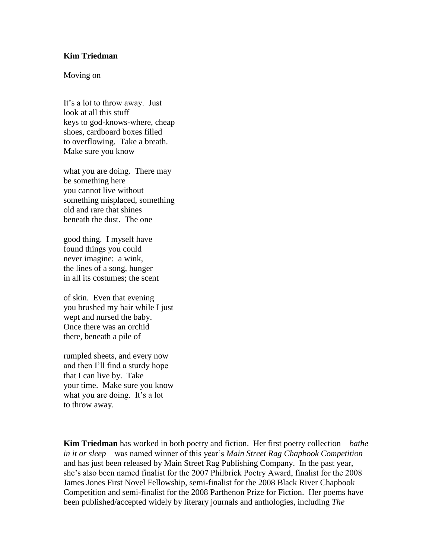## **Kim Triedman**

## Moving on

It's a lot to throw away. Just look at all this stuff keys to god-knows-where, cheap shoes, cardboard boxes filled to overflowing. Take a breath. Make sure you know

what you are doing. There may be something here you cannot live without something misplaced, something old and rare that shines beneath the dust. The one

good thing. I myself have found things you could never imagine: a wink, the lines of a song, hunger in all its costumes; the scent

of skin. Even that evening you brushed my hair while I just wept and nursed the baby. Once there was an orchid there, beneath a pile of

rumpled sheets, and every now and then I'll find a sturdy hope that I can live by. Take your time. Make sure you know what you are doing. It's a lot to throw away.

**Kim Triedman** has worked in both poetry and fiction. Her first poetry collection *– bathe in it or sleep –* was named winner of this year's *Main Street Rag Chapbook Competition* and has just been released by Main Street Rag Publishing Company. In the past year, she's also been named finalist for the 2007 Philbrick Poetry Award, finalist for the 2008 James Jones First Novel Fellowship, semi-finalist for the 2008 Black River Chapbook Competition and semi-finalist for the 2008 Parthenon Prize for Fiction. Her poems have been published/accepted widely by literary journals and anthologies, including *The*